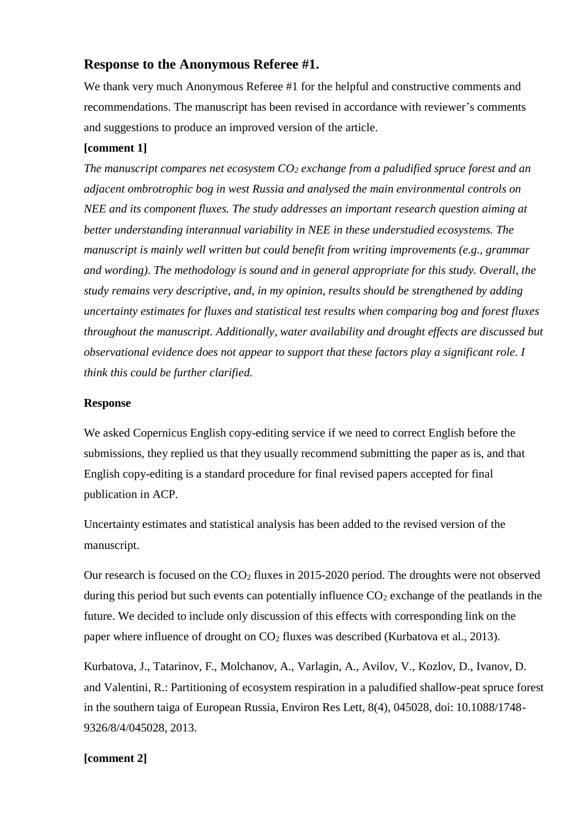# **Response to the Anonymous Referee #1.**

We thank very much Anonymous Referee #1 for the helpful and constructive comments and recommendations. The manuscript has been revised in accordance with reviewer's comments and suggestions to produce an improved version of the article.

# **[comment 1]**

*The manuscript compares net ecosystem CO<sup>2</sup> exchange from a paludified spruce forest and an adjacent ombrotrophic bog in west Russia and analysed the main environmental controls on NEE and its component fluxes. The study addresses an important research question aiming at better understanding interannual variability in NEE in these understudied ecosystems. The manuscript is mainly well written but could benefit from writing improvements (e.g., grammar and wording). The methodology is sound and in general appropriate for this study. Overall, the study remains very descriptive, and, in my opinion, results should be strengthened by adding uncertainty estimates for fluxes and statistical test results when comparing bog and forest fluxes throughout the manuscript. Additionally, water availability and drought effects are discussed but observational evidence does not appear to support that these factors play a significant role. I think this could be further clarified.*

## **Response**

We asked Copernicus English copy-editing service if we need to correct English before the submissions, they replied us that they usually recommend submitting the paper as is, and that English copy-editing is a standard procedure for final revised papers accepted for final publication in ACP.

Uncertainty estimates and statistical analysis has been added to the revised version of the manuscript.

Our research is focused on the  $CO<sub>2</sub>$  fluxes in 2015-2020 period. The droughts were not observed during this period but such events can potentially influence  $CO<sub>2</sub>$  exchange of the peatlands in the future. We decided to include only discussion of this effects with corresponding link on the paper where influence of drought on  $CO<sub>2</sub>$  fluxes was described (Kurbatova et al., 2013).

Kurbatova, J., Tatarinov, F., Molchanov, A., Varlagin, A., Avilov, V., Kozlov, D., Ivanov, D. and Valentini, R.: Partitioning of ecosystem respiration in a paludified shallow-peat spruce forest in the southern taiga of European Russia, Environ Res Lett, 8(4), 045028, doi: 10.1088/1748- 9326/8/4/045028, 2013.

# **[comment 2]**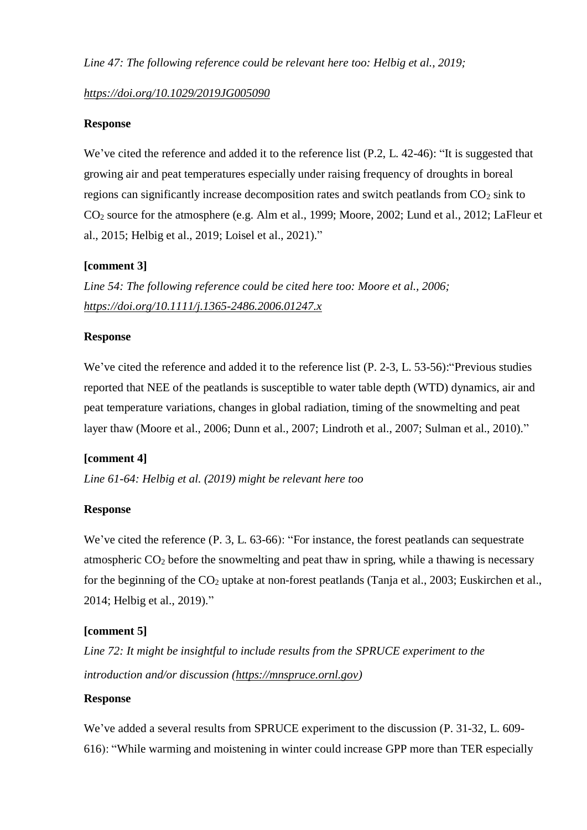### *<https://doi.org/10.1029/2019JG005090>*

### **Response**

We've cited the reference and added it to the reference list (P.2, L. 42-46): "It is suggested that growing air and peat temperatures especially under raising frequency of droughts in boreal regions can significantly increase decomposition rates and switch peatlands from  $CO<sub>2</sub>$  sink to CO<sup>2</sup> source for the atmosphere (e.g. Alm et al., 1999; Moore, 2002; Lund et al., 2012; LaFleur et al., 2015; Helbig et al., 2019; Loisel et al., 2021)."

## **[comment 3]**

*Line 54: The following reference could be cited here too: Moore et al., 2006; <https://doi.org/10.1111/j.1365-2486.2006.01247.x>*

#### **Response**

We've cited the reference and added it to the reference list (P. 2-3, L. 53-56): "Previous studies reported that NEE of the peatlands is susceptible to water table depth (WTD) dynamics, air and peat temperature variations, changes in global radiation, timing of the snowmelting and peat layer thaw (Moore et al., 2006; Dunn et al., 2007; Lindroth et al., 2007; Sulman et al., 2010)."

## **[comment 4]**

*Line 61-64: Helbig et al. (2019) might be relevant here too*

## **Response**

We've cited the reference (P. 3, L. 63-66): "For instance, the forest peatlands can sequestrate atmospheric CO<sup>2</sup> before the snowmelting and peat thaw in spring, while a thawing is necessary for the beginning of the  $CO<sub>2</sub>$  uptake at non-forest peatlands (Tanja et al., 2003; Euskirchen et al., 2014; Helbig et al., 2019)."

## **[comment 5]**

*Line 72: It might be insightful to include results from the SPRUCE experiment to the introduction and/or discussion [\(https://mnspruce.ornl.gov\)](https://mnspruce.ornl.gov/)*

### **Response**

We've added a several results from SPRUCE experiment to the discussion (P. 31-32, L. 609- 616): "While warming and moistening in winter could increase GPP more than TER especially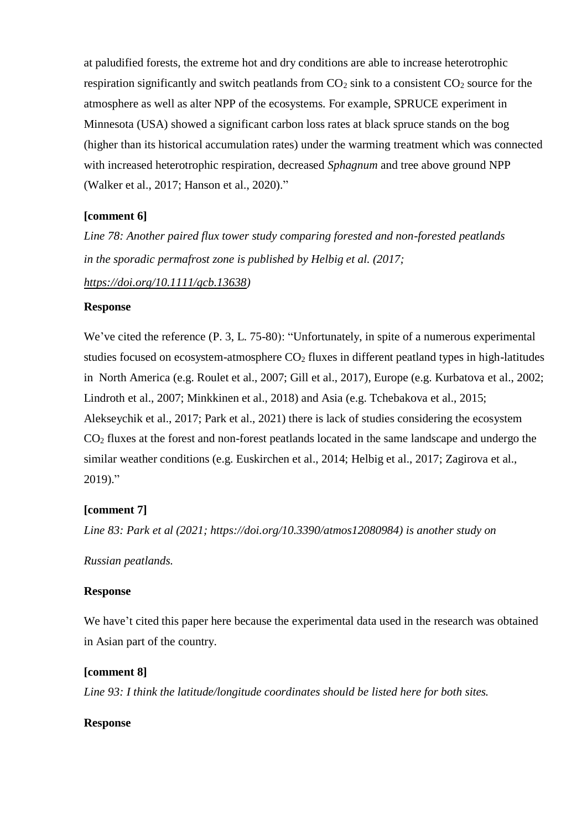at paludified forests, the extreme hot and dry conditions are able to increase heterotrophic respiration significantly and switch peatlands from  $CO<sub>2</sub>$  sink to a consistent  $CO<sub>2</sub>$  source for the atmosphere as well as alter NPP of the ecosystems. For example, SPRUCE experiment in Minnesota (USA) showed a significant carbon loss rates at black spruce stands on the bog (higher than its historical accumulation rates) under the warming treatment which was connected with increased heterotrophic respiration, decreased *Sphagnum* and tree above ground NPP (Walker et al., 2017; Hanson et al., 2020)."

## **[comment 6]**

*Line 78: Another paired flux tower study comparing forested and non-forested peatlands in the sporadic permafrost zone is published by Helbig et al. (2017;*

*[https://doi.org/10.1111/gcb.13638\)](https://doi.org/10.1111/gcb.13638)*

### **Response**

We've cited the reference (P. 3, L. 75-80): "Unfortunately, in spite of a numerous experimental studies focused on ecosystem-atmosphere  $CO<sub>2</sub>$  fluxes in different peatland types in high-latitudes in North America (e.g. Roulet et al., 2007; Gill et al., 2017), Europe (e.g. Kurbatova et al., 2002; Lindroth et al., 2007; Minkkinen et al., 2018) and Asia (e.g. Tchebakova et al., 2015; Alekseychik et al., 2017; Park et al., 2021) there is lack of studies considering the ecosystem CO<sup>2</sup> fluxes at the forest and non-forest peatlands located in the same landscape and undergo the similar weather conditions (e.g. Euskirchen et al., 2014; Helbig et al., 2017; Zagirova et al., 2019)."

### **[comment 7]**

*Line 83: Park et al (2021; https://doi.org/10.3390/atmos12080984) is another study on*

# *Russian peatlands.*

#### **Response**

We have't cited this paper here because the experimental data used in the research was obtained in Asian part of the country.

#### **[comment 8]**

*Line 93: I think the latitude/longitude coordinates should be listed here for both sites.*

#### **Response**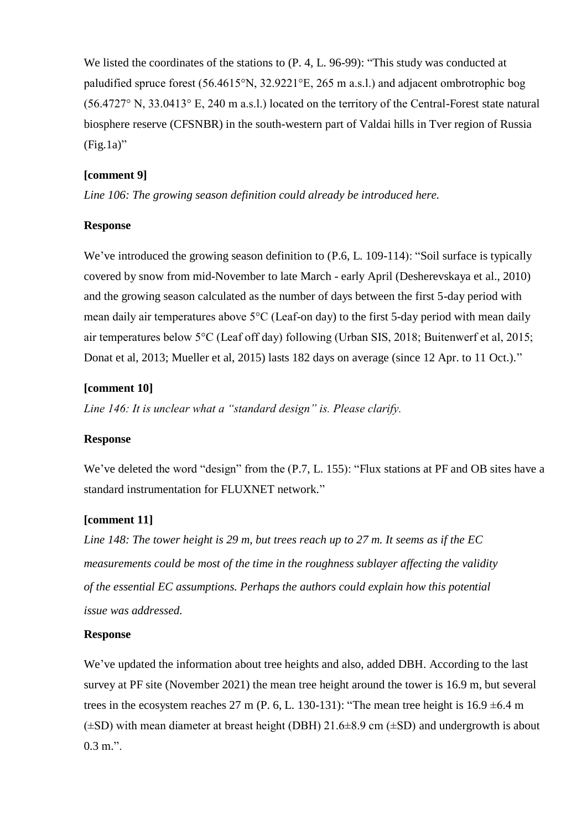We listed the coordinates of the stations to  $(P. 4, L. 96-99)$ : "This study was conducted at paludified spruce forest (56.4615°N, 32.9221°E, 265 m a.s.l.) and adjacent ombrotrophic bog (56.4727° N, 33.0413° E, 240 m a.s.l.) located on the territory of the Central-Forest state natural biosphere reserve (CFSNBR) in the south-western part of Valdai hills in Tver region of Russia  $(Fig.1a)$ "

## **[comment 9]**

*Line 106: The growing season definition could already be introduced here.*

## **Response**

We've introduced the growing season definition to  $(P.6, L. 109-114)$ : "Soil surface is typically covered by snow from mid-November to late March - early April (Desherevskaya et al., 2010) and the growing season calculated as the number of days between the first 5-day period with mean daily air temperatures above 5°C (Leaf-on day) to the first 5-day period with mean daily air temperatures below 5°C (Leaf off day) following (Urban SIS, 2018; Buitenwerf et al, 2015; Donat et al, 2013; Mueller et al, 2015) lasts 182 days on average (since 12 Apr. to 11 Oct.)."

# **[comment 10]**

*Line 146: It is unclear what a "standard design" is. Please clarify.*

## **Response**

We've deleted the word "design" from the  $(P.7, L. 155)$ : "Flux stations at PF and OB sites have a standard instrumentation for FLUXNET network."

# **[comment 11]**

*Line 148: The tower height is 29 m, but trees reach up to 27 m. It seems as if the EC measurements could be most of the time in the roughness sublayer affecting the validity of the essential EC assumptions. Perhaps the authors could explain how this potential issue was addressed.*

## **Response**

We've updated the information about tree heights and also, added DBH. According to the last survey at PF site (November 2021) the mean tree height around the tower is 16.9 m, but several trees in the ecosystem reaches 27 m (P. 6, L. 130-131): "The mean tree height is  $16.9 \pm 6.4$  m  $(\pm SD)$  with mean diameter at breast height (DBH) 21.6 $\pm$ 8.9 cm ( $\pm SD$ ) and undergrowth is about 0.3 m.".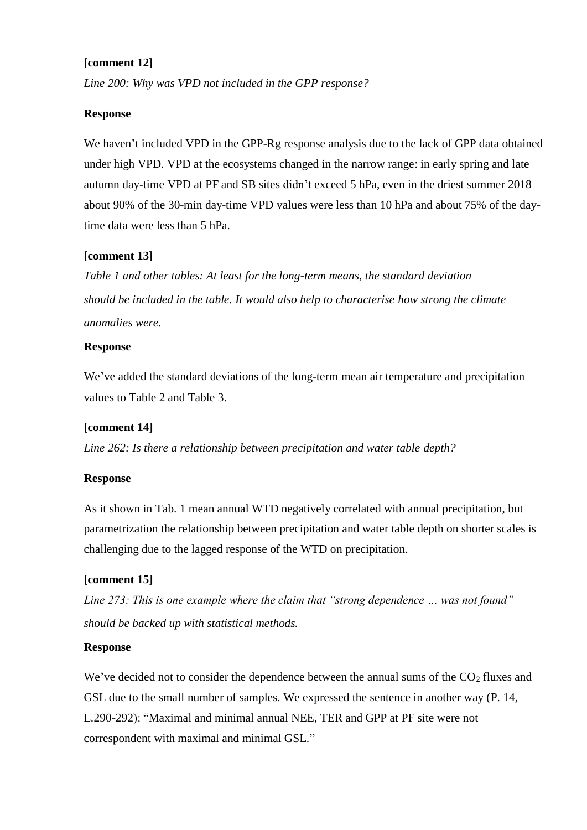## **[comment 12]**

*Line 200: Why was VPD not included in the GPP response?*

### **Response**

We haven't included VPD in the GPP-Rg response analysis due to the lack of GPP data obtained under high VPD. VPD at the ecosystems changed in the narrow range: in early spring and late autumn day-time VPD at PF and SB sites didn't exceed 5 hPa, even in the driest summer 2018 about 90% of the 30-min day-time VPD values were less than 10 hPa and about 75% of the daytime data were less than 5 hPa.

### **[comment 13]**

*Table 1 and other tables: At least for the long-term means, the standard deviation should be included in the table. It would also help to characterise how strong the climate anomalies were.*

#### **Response**

We've added the standard deviations of the long-term mean air temperature and precipitation values to Table 2 and Table 3.

### **[comment 14]**

*Line 262: Is there a relationship between precipitation and water table depth?*

#### **Response**

As it shown in Tab. 1 mean annual WTD negatively correlated with annual precipitation, but parametrization the relationship between precipitation and water table depth on shorter scales is challenging due to the lagged response of the WTD on precipitation.

#### **[comment 15]**

*Line 273: This is one example where the claim that "strong dependence … was not found" should be backed up with statistical methods.*

#### **Response**

We've decided not to consider the dependence between the annual sums of the  $CO<sub>2</sub>$  fluxes and GSL due to the small number of samples. We expressed the sentence in another way (P. 14, L.290-292): "Maximal and minimal annual NEE, TER and GPP at PF site were not correspondent with maximal and minimal GSL."